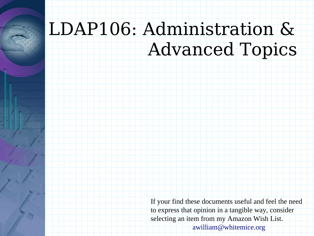## LDAP106: Administration & Advanced Topics

If your find these documents useful and feel the need to express that opinion in a tangible way, consider selecting an item from my Amazon Wish List. awilliam@whitemice.org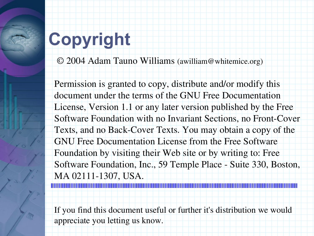# **Copyright**

© 2004 Adam Tauno Williams (awilliam@whitemice.org)

Permission is granted to copy, distribute and/or modify this document under the terms of the GNU Free Documentation License, Version 1.1 or any later version published by the Free Software Foundation with no Invariant Sections, no Front-Cover Texts, and no Back-Cover Texts. You may obtain a copy of the GNU Free Documentation License from the Free Software Foundation by visiting their Web site or by writing to: Free Software Foundation, Inc., 59 Temple Place - Suite 330, Boston, MA 02111-1307, USA.

If you find this document useful or further it's distribution we would appreciate you letting us know.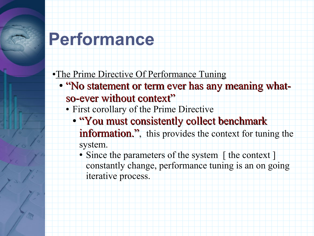#### **Performance**

•The Prime Directive Of Performance Tuning

- "No statement or term ever has any meaning whatso-ever without context"
	- First corollary of the Prime Directive
		- "You must consistently collect benchmark information.", this provides the context for tuning the system.
			- Since the parameters of the system [ the context ] constantly change, performance tuning is an on going iterative process.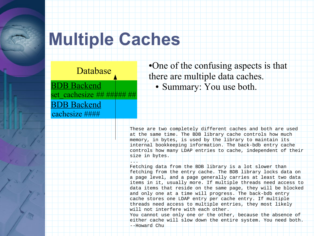#### **Multiple Caches**

#### Database

BDB Backend cachesize #### BDB Backend set\_cachesize *## ##### ##*

•One of the confusing aspects is that there are multiple data caches. • Summary: You use both.

These are two completely different caches and both are used at the same time. The BDB library cache controls how much memory, in bytes, is used by the library to maintain its internal bookkeeping information. The back-bdb entry cache controls how many LDAP entries to cache, independent of their size in bytes.

 $\overline{\phantom{a}}$ Fetching data from the BDB library is a lot slower than fetching from the entry cache. The BDB library locks data on a page level, and a page generally carries at least two data items in it, usually more. If multiple threads need access to data items that reside on the same page, they will be blocked and only one at a time will progress. The back-bdb entry cache stores one LDAP entry per cache entry. If multiple threads need access to multiple entries, they most likely will not interfere with each other.

You cannot use only one or the other, because the absence of either cache will slow down the entire system. You need both. --Howard Chu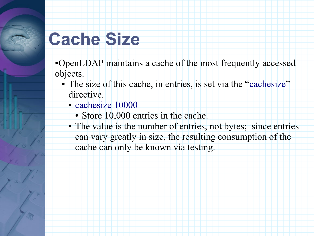#### **Cache Size**

- ●OpenLDAP maintains a cache of the most frequently accessed objects.
	- The size of this cache, in entries, is set via the "cachesize" directive.
		- cachesize 10000
			- Store 10,000 entries in the cache.
		- The value is the number of entries, not bytes; since entries can vary greatly in size, the resulting consumption of the cache can only be known via testing.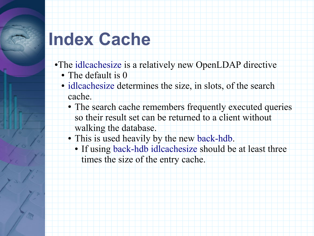#### **Index Cache**

- ●The idlcachesize is a relatively new OpenLDAP directive
	- The default is 0
	- idlcachesize determines the size, in slots, of the search cache.
		- The search cache remembers frequently executed queries so their result set can be returned to a client without
			- walking the database.
		- This is used heavily by the new back-hdb.
			- If using back-hdb idlcachesize should be at least three times the size of the entry cache.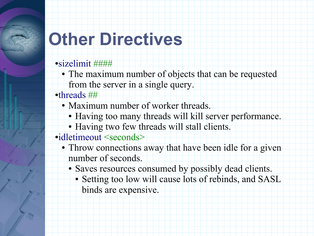# **Other Directives**

#### ●sizelimit ####

- The maximum number of objects that can be requested from the server in a single query.
- ●threads ##
	- Maximum number of worker threads.
		- Having too many threads will kill server performance.
		- Having two few threads will stall clients.
- ●idletimeout <seconds>
	- Throw connections away that have been idle for a given number of seconds.
		- Saves resources consumed by possibly dead clients.
			- Setting too low will cause lots of rebinds, and SASL binds are expensive.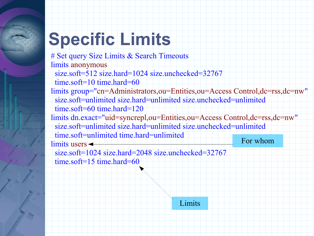# **Specific Limits**

# Set query Size Limits & Search Timeouts limits anonymous size.soft=512 size.hard=1024 size.unchecked=32767 time.soft=10 time.hard=60 limits group="cn=Administrators,ou=Entities,ou=Access Control,dc=rss,dc=nw" size.soft=unlimited size.hard=unlimited size.unchecked=unlimited time.soft=60 time.hard=120 limits dn.exact="uid=syncrepl,ou=Entities,ou=Access Control,dc=rss,dc=nw" size.soft=unlimited size.hard=unlimited size.unchecked=unlimited time.soft=unlimited time.hard=unlimited  $\lim$ its users  $\triangleleft$  size.soft=1024 size.hard=2048 size.unchecked=32767 time.soft=15 time.hard=60 For whom

Limits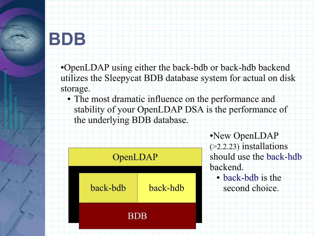#### **BDB**

●OpenLDAP using either the back-bdb or back-hdb backend utilizes the Sleepycat BDB database system for actual on disk storage.

• The most dramatic influence on the performance and stability of your OpenLDAP DSA is the performance of the underlying BDB database.

| OpenLDAP   |          |  |  |
|------------|----------|--|--|
| back-bdb   | back-hdb |  |  |
| <b>BDB</b> |          |  |  |

●New OpenLDAP (>2.2.23) installations should use the back-hdb backend. • back-bdb is the

second choice.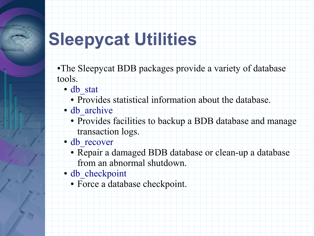# **Sleepycat Utilities**

•The Sleepycat BDB packages provide a variety of database tools.

- db\_stat
	- Provides statistical information about the database.
- db archive
	- Provides facilities to backup a BDB database and manage transaction logs.
- db\_recover
	- Repair a damaged BDB database or clean-up a database from an abnormal shutdown.
- db checkpoint
	- Force a database checkpoint.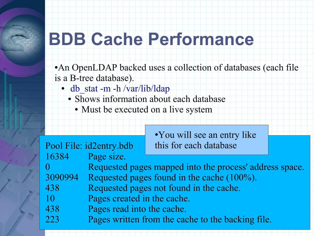#### **BDB Cache Performance**

• An OpenLDAP backed uses a collection of databases (each file is a B-tree database).

- db stat -m -h /var/lib/ldap
	- Shows information about each database
		- Must be executed on a live system

|         | Pool File: id2entry.bdb                                 | • You will see an entry like<br>this for each database |  |
|---------|---------------------------------------------------------|--------------------------------------------------------|--|
| 16384   | Page size.                                              |                                                        |  |
|         | Requested pages mapped into the process' address space. |                                                        |  |
| 3090994 | Requested pages found in the cache (100%).              |                                                        |  |
| 438     | Requested pages not found in the cache.                 |                                                        |  |
| 10      | Pages created in the cache.                             |                                                        |  |
| 438     | Pages read into the cache.                              |                                                        |  |
| 223     |                                                         | Pages written from the cache to the backing file.      |  |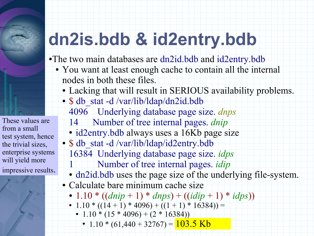

These values are from a small test system, hence the trivial sizes, enterprise systems will yield more impressive results.

# **dn2is.bdb & id2entry.bdb**

- ●The two main databases are dn2id.bdb and id2entry.bdb
	- You want at least enough cache to contain all the internal nodes in both these files.
		- Lacking that will result in SERIOUS availability problems.
		- \$ db stat -d /var/lib/ldap/dn2id.bdb
			- 4096 Underlying database page size. *dnps*
			- 14 Number of tree internal pages. *dnip*
			- id2entry.bdb always uses a 16Kb page size
			- \$ db\_stat -d /var/lib/ldap/id2entry.bdb
				- 16384 Underlying database page size. *idps*
					- 1 Number of tree internal pages. *idip*
				- dn2id.bdb uses the page size of the underlying file-system.
		- Calculate bare minimum cache size
			- $1.10 * ((dnip + 1) * dnps) + ((idip + 1) * idps))$
			- 1.10 \*  $((14 + 1) * 4096) + ((1 + 1) * 16384)) =$ 
				- $\bullet$  1.10  $\ast$  (15  $\ast$  4096) + (2  $\ast$  16384))
					- 1.10 \* (61,440 + 32767) =  $103.5$  Kb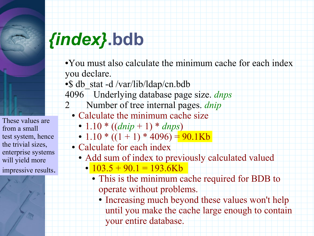

These values are from a small test system, hence the trivial sizes, enterprise systems will yield more impressive results.



- •You must also calculate the minimum cache for each index you declare.
- S db stat -d /var/lib/ldap/cn.bdb
- 4096 Underlying database page size. *dnps*
- 2 Number of tree internal pages. *dnip*
	- Calculate the minimum cache size
		- 1.10 \*  $((dnip + 1) * dnps)$
	- $\bullet$  1.10  $*$  ((1+1)  $*$  4096) = 90.1Kb
	- Calculate for each index
		- Add sum of index to previously calculated valued
			- $\cdot$  103.5 + 90.1 = 193.6Kb
				- This is the minimum cache required for BDB to operate without problems.
					- Increasing much beyond these values won't help until you make the cache large enough to contain your entire database.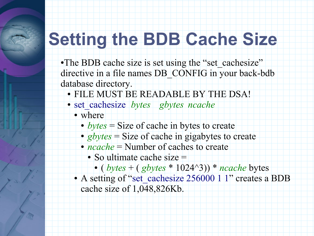# **Setting the BDB Cache Size**

•The BDB cache size is set using the "set\_cachesize" directive in a file names DB\_CONFIG in your back-bdb database directory.

- FILE MUST BE READABLE BY THE DSA!
- set\_cachesize *bytes gbytes ncache*
	- where
		- *bytes* = Size of cache in bytes to create
		- *gbytes* = Size of cache in gigabytes to create
		- *ncache* = Number of caches to create
			- $\bullet$  So ultimate cache size  $=$ 
				- $\cdot$  (*bytes* + (*gbytes* \* 1024^3)) \* *ncache* bytes
	- A setting of "set\_cachesize 256000 1 1" creates a BDB cache size of 1,048,826Kb.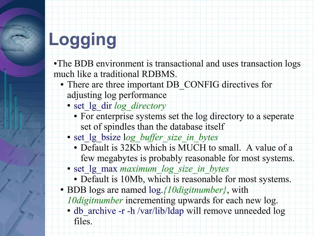# **Logging**

- •The BDB environment is transactional and uses transaction logs much like a traditional RDBMS.
	- There are three important DB CONFIG directives for adjusting log performance
		- set 1g dir *log\_directory* 
			- For enterprise systems set the log directory to a seperate set of spindles than the database itself
		- set lg bsize log buffer size in bytes
			- Default is 32Kb which is MUCH to small. A value of a few megabytes is probably reasonable for most systems.
		- set\_lg\_max *maximum\_log\_size\_in\_bytes*
			- Default is 10Mb, which is reasonable for most systems.
	- BDB logs are named log.*{10digitnumber}*, with

*10digitnumber* incrementing upwards for each new log.

• db archive -r -h /var/lib/ldap will remove unneeded log files.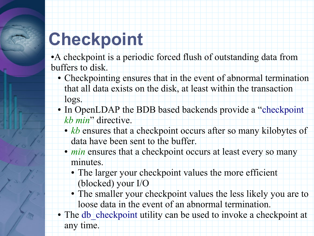# **Checkpoint**

• A checkpoint is a periodic forced flush of outstanding data from buffers to disk.

- Checkpointing ensures that in the event of abnormal termination that all data exists on the disk, at least within the transaction logs.
- In OpenLDAP the BDB based backends provide a "checkpoint" *kb min*" directive.
	- *kb* ensures that a checkpoint occurs after so many kilobytes of data have been sent to the buffer.
	- *min* ensures that a checkpoint occurs at least every so many minutes.
		- The larger your checkpoint values the more efficient (blocked) your I/O
		- The smaller your checkpoint values the less likely you are to loose data in the event of an abnormal termination.
- The db checkpoint utility can be used to invoke a checkpoint at any time.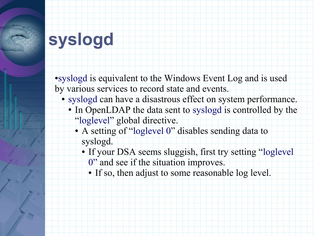## **syslogd**

●syslogd is equivalent to the Windows Event Log and is used by various services to record state and events.

- syslogd can have a disastrous effect on system performance.
	- In OpenLDAP the data sent to syslogd is controlled by the
		- "loglevel" global directive.
		- A setting of "loglevel 0" disables sending data to syslogd.
			- If your DSA seems sluggish, first try setting "loglevel"
				- 0" and see if the situation improves.
				- If so, then adjust to some reasonable log level.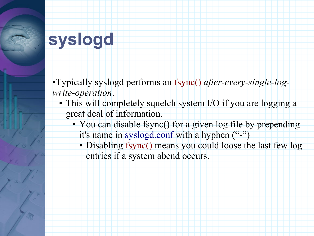#### **syslogd**

●Typically syslogd performs an fsync() *after-every-single-logwrite-operation*.

- This will completely squelch system I/O if you are logging a great deal of information.
	- You can disable fsync() for a given log file by prepending it's name in syslogd.conf with a hyphen ("-")
		- Disabling fsync() means you could loose the last few log entries if a system abend occurs.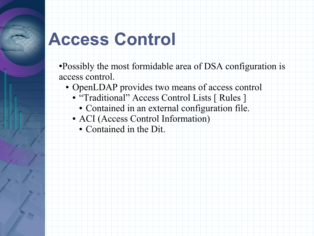#### **Access Control**

●Possibly the most formidable area of DSA configuration is access control.

- OpenLDAP provides two means of access control
	- "Traditional" Access Control Lists [ Rules ]
		- Contained in an external configuration file.
	- ACI (Access Control Information)
		- Contained in the Dit.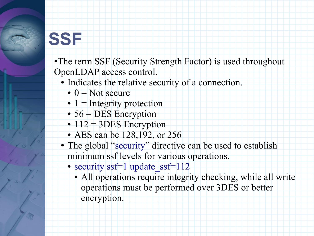#### **SSF**

- •The term SSF (Security Strength Factor) is used throughout OpenLDAP access control.
	- Indicates the relative security of a connection.
		- $\bullet$  0 = Not secure
		- $\bullet$  1 = Integrity protection
		- $\bullet$  56 = DES Encryption
		- $\cdot$  112 = 3DES Encryption
		- AES can be 128,192, or 256
	- The global "security" directive can be used to establish minimum ssf levels for various operations.
		- security ssf=1 update ssf=112
			- All operations require integrity checking, while all write operations must be performed over 3DES or better encryption.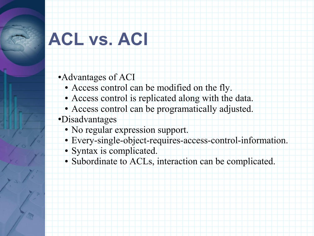# **ACL vs. ACI**

●Advantages of ACI

- Access control can be modified on the fly.
- Access control is replicated along with the data.
- Access control can be programatically adjusted.
- ●Disadvantages
	- No regular expression support.
	- Every-single-object-requires-access-control-information.
	- Syntax is complicated.
	- Subordinate to ACLs, interaction can be complicated.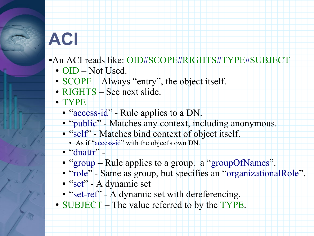#### **ACI**

- ●An ACI reads like: OID#SCOPE#RIGHTS#TYPE#SUBJECT
	- OID Not Used.
	- SCOPE Always "entry", the object itself.
	- RIGHTS See next slide.
	- TYPE
		- "access-id" Rule applies to a DN.
		- "public" Matches any context, including anonymous.
		- "self" Matches bind context of object itself.
			- As if "access-id" with the object's own DN.
		- "dnattr" -
		- "group Rule applies to a group. a "groupOfNames".
		- "role" Same as group, but specifies an "organizationalRole".
		- "set" A dynamic set
		- "set-ref" A dynamic set with dereferencing.
	- SUBJECT The value referred to by the TYPE.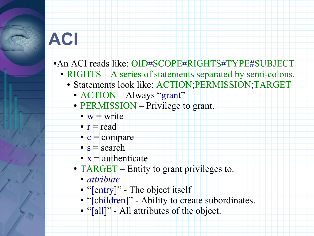#### **ACI**

- ●An ACI reads like: OID#SCOPE#RIGHTS#TYPE#SUBJECT
	- RIGHTS A series of statements separated by semi-colons.
		- Statements look like: ACTION;PERMISSION;TARGET
			- ACTION Always "grant"
			- PERMISSION Privilege to grant.
				- $w =$  write
				- $\bullet$  r = read
				- $\bullet$  c = compare
				- $\bullet$  s = search
				- $x =$  authenticate
			- TARGET Entity to grant privileges to.
				- *attribute*
				- "[entry]" The object itself
				- "[children]" Ability to create subordinates.
				- "[all]" All attributes of the object.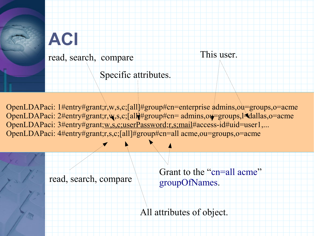

OpenLDAPaci: 1#entry#grant;r,w,s,c;[all]#group#cn=enterprise admins,ou=groups,o=acme OpenLDAPaci: 2#entry#grant;r,w,s,c;[all##group#cn= admins,ou=groups,l=dallas,o=acme OpenLDAPaci: 3#entry#grant;w,s,c;userPassword;r,s;mail#access-id#uid=user1,... OpenLDAPaci: 4#entry#grant;r,s,c;[all]#group#cn=all acme,ou=groups,o=acme

read, search, compare

Grant to the "cn=all acme" groupOfNames.

This user.

All attributes of object.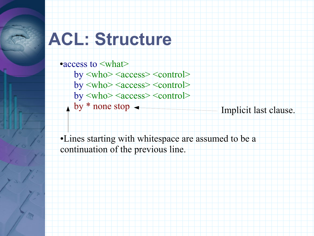#### **ACL: Structure**

●access to <what>  $by **who>**$ by <who> <access> <control>  $by **who>  <**control>$ by  $*$  none stop  $\leftarrow$  Implicit last clause.

●Lines starting with whitespace are assumed to be a continuation of the previous line.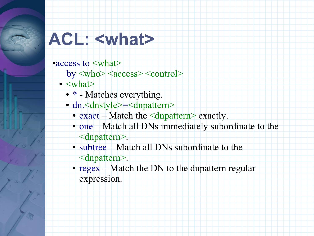#### **ACL: <what>**

• access to  $\leq$ what>

- by <who> <access> <control>
- $\bullet$  <what>
	- \* Matches everything.
	- dn. <dnstyle>=<dnpattern>
		- exact Match the  $\leq$ dnpattern> exactly.
		- one Match all DNs immediately subordinate to the <dnpattern>.
		- subtree Match all DNs subordinate to the <dnpattern>.
		- regex Match the DN to the dnpattern regular expression.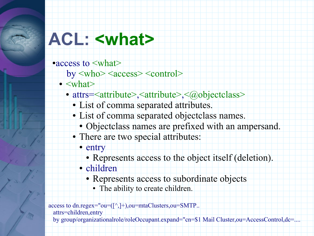#### **ACL: <what>**

• access to  $\leq$ what>

- by <who> <access> <control>
- $\bullet$  <what>
	- attrs=<attribute>,<attribute>,<@objectclass>
		- List of comma separated attributes.
		- List of comma separated objectclass names.
			- Objectclass names are prefixed with an ampersand.
		- There are two special attributes:
			- entry
				- Represents access to the object itself (deletion).
			- children
				- Represents access to subordinate objects
					- The ability to create children.

access to dn.regex="ou=([^,]+),ou=mtaClusters,ou=SMTP.. attrs=children,entry

by group/organizationalrole/roleOccupant.expand="cn=\$1 Mail Cluster,ou=AccessControl,dc=....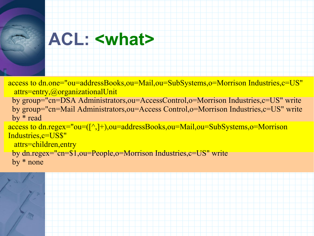#### **ACL: <what>**

access to dn.one="ou=addressBooks,ou=Mail,ou=SubSystems,o=Morrison Industries,c=US" attrs=entry,@organizationalUnit by group="cn=DSA Administrators,ou=AccessControl,o=Morrison Industries,c=US" write by group="cn=Mail Administrators,ou=Access Control,o=Morrison Industries,c=US" write by \* read access to dn.regex="ou=([^,]+),ou=addressBooks,ou=Mail,ou=SubSystems,o=Morrison Industries,c=US\$" attrs=children,entry by dn.regex="cn=\$1,ou=People,o=Morrison Industries,c=US" write by \* none

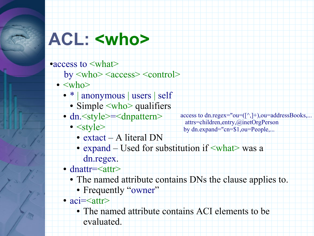### **ACL: <who>**

• access to  $\leq$ what $>$ 

- by <who> <access> <control>
- $\bullet$   $\langle$ who $\rangle$ 
	- \* | anonymous | users | self
		- Simple  $\langle$ who $\rangle$  qualifiers
	- dn. <style>=<dnpattern>
		- $\bullet$  <style>
			- extact A literal DN
			- expand Used for substitution if  $\langle$ what $\rangle$  was a

dn.regex.

- dnattr=<attr>
	- The named attribute contains DNs the clause applies to.

access to dn.regex="ou= $([\wedge,]+\)$ ,ou=addressBooks,...

 attrs=children,entry,@inetOrgPerson by dn.expand="cn=\$1,ou=People,...

- Frequently "owner"
- $aci =$ 
	- The named attribute contains ACI elements to be evaluated.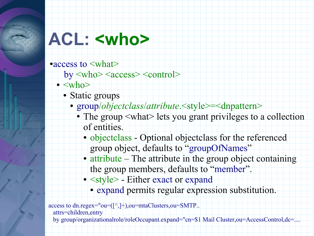#### **ACL: <who>**

• access to  $\leq$ what $>$ 

- by <who> <access> <control>
- $\bullet$  <who>
	- Static groups
		- group/*objectclass/attribute*.<style>=<dnpattern>
			- The group  $\leq$  what lets you grant privileges to a collection of entities.
				- objectclass Optional objectclass for the referenced group object, defaults to "groupOfNames"
				- attribute The attribute in the group object containing the group members, defaults to "member".
				- <style> Either exact or expand
					- expand permits regular expression substitution.

access to dn.regex="ou= $([\wedge,]+\)$ ,ou=mtaClusters,ou=SMTP.. attrs=children,entry

by group/organizationalrole/roleOccupant.expand="cn=\$1 Mail Cluster,ou=AccessControl,dc=....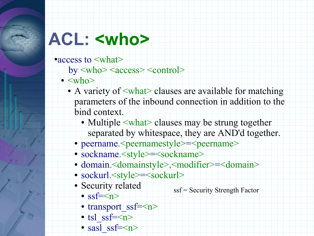#### **ACL: <who>**

- ●access to <what>
	- $by **who>  < control>**$
	- $\bullet$   $\langle \text{who} \rangle$ 
		- A variety of  $\leq$ what clauses are available for matching parameters of the inbound connection in addition to the bind context.
			- Multiple <what> clauses may be strung together separated by whitespace, they are AND'd together.
			- peername. < peernamestyle > = < peername >
			- sockname. <style>=<sockname>
			- domain.<domainstyle>,<modifier>=<domain>
			- sockurl.<style>=<sockurl>
			- Security related
				- $\cdot$  ssf= $\leq n$
				- transport  $s$ sf= $<$ n $>$
				- tsl ssf= $\langle n \rangle$
				- sasl ssf= $\langle n \rangle$

ssf = Security Strength Factor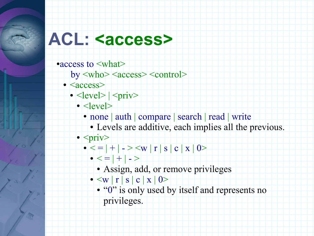#### ACL: <access>

- access to  $\leq$ what $>$ 
	- by <who> <access> <control>
	- <access>
		- $\bullet$  <level>  $|\langle$ priv>
			- $\bullet$  <level>
				- none | auth | compare | search | read | write
					- Levels are additive, each implies all the previous.
			- $\bullet$  <priv>
				- $\bullet \leq = | + | \rangle \leq w | r | s | c | x | 0 \rangle$ 
					- $\bullet \left\vert \left\langle -\right\vert +\left\vert \left\vert -\right\rangle \right\vert$ 
						- Assign, add, or remove privileges
					- $\bullet$   $\langle w | r | s | c | x | 0 \rangle$ 
						- "0" is only used by itself and represents no privileges.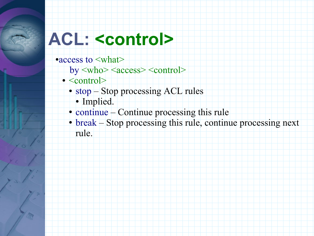## **ACL: <control>**

- access to <what>
	- by <who> <access> <control>
	- $\bullet$  <control>
		- stop Stop processing ACL rules
			- Implied.
		- continue Continue processing this rule
		- break Stop processing this rule, continue processing next rule.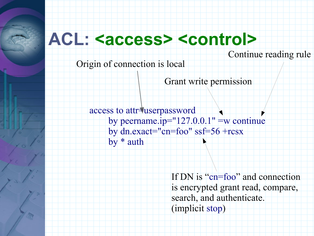#### **ACL: <access> <control>**

Continue reading rule

Origin of connection is local

Grant write permission

access to attr=userpassword by peername.ip= $"127.0.0.1"$  =w continue by dn.exact="cn=foo" ssf=56 +rcsx by \* auth

> If DN is "cn=foo" and connection is encrypted grant read, compare, search, and authenticate. (implicit stop)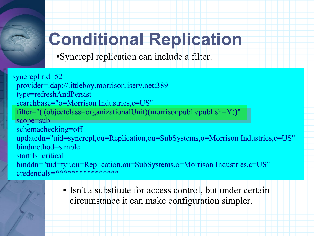

# **Conditional Replication**

●Syncrepl replication can include a filter.

syncrepl rid=52 provider=ldap://littleboy.morrison.iserv.net:389 type=refreshAndPersist searchbase="o=Morrison Industries,c=US" filter="(|(objectclass=organizationalUnit)(morrisonpublicpublish=Y))" scope=sub schemachecking=off updatedn="uid=syncrepl,ou=Replication,ou=SubSystems,o=Morrison Industries,c=US" bindmethod=simple starttls=critical binddn="uid=tyr,ou=Replication,ou=SubSystems,o=Morrison Industries,c=US" credentials=\*\*\*\*\*\*\*\*\*\*\*\*\*\*\*\*

> • Isn't a substitute for access control, but under certain circumstance it can make configuration simpler.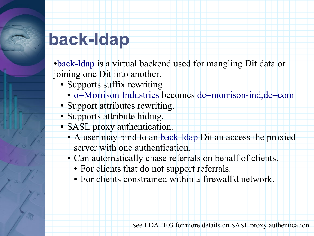• back-ldap is a virtual backend used for mangling Dit data or joining one Dit into another.

- Supports suffix rewriting
	- o=Morrison Industries becomes dc=morrison-ind,dc=com
- Support attributes rewriting.
- Supports attribute hiding.
- SASL proxy authentication.
	- A user may bind to an back-ldap Dit an access the proxied server with one authentication.
	- Can automatically chase referrals on behalf of clients.
		- For clients that do not support referrals.
		- For clients constrained within a firewall'd network.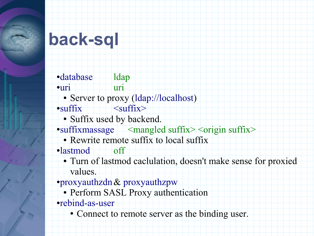#### **back-sql**

•database ldap ●uri uri • Server to proxy (ldap://localhost)  $\bullet$ suffix  $\rightarrow$   $\rightarrow$  suffix • Suffix used by backend.  $\bullet$ suffixmassage  $\leq$ mangled suffix $\geq$   $\leq$ origin suffix $\geq$ • Rewrite remote suffix to local suffix ●lastmod off

● Turn of lastmod caclulation, doesn't make sense for proxied values.

- ●proxyauthzdn& proxyauthzpw
	- Perform SASL Proxy authentication
- ●rebind-as-user
	- Connect to remote server as the binding user.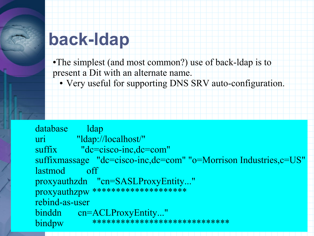•The simplest (and most common?) use of back-ldap is to present a Dit with an alternate name.

● Very useful for supporting DNS SRV auto-configuration.

database ldap uri "ldap://localhost/" suffix "dc=cisco-inc,dc=com" suffixmassage "dc=cisco-inc,dc=com" "o=Morrison Industries,c=US" lastmod off proxyauthzdn "cn=SASLProxyEntity..." proxyauthzpw \*\*\*\*\*\*\*\*\*\*\*\*\*\*\*\*\*\*\*\* rebind-as-user binddn cn=ACLProxyEntity..." bindpw \*\*\*\*\*\*\*\*\*\*\*\*\*\*\*\*\*\*\*\*\*\*\*\*\*\*\*\*\*\*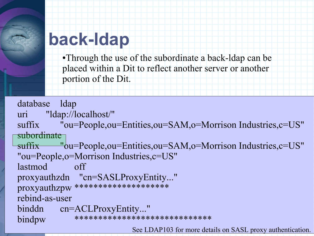•Through the use of the subordinate a back-ldap can be placed within a Dit to reflect another server or another portion of the Dit.

```
database ldap
uri "ldap://localhost/"
suffix "ou=People,ou=Entities,ou=SAM,o=Morrison Industries,c=US"
subordinate
suffix "bu=People,ou=Entities,ou=SAM,o=Morrison Industries,c=US"
"ou=People,o=Morrison Industries,c=US"
lastmod off
proxyauthzdn "cn=SASLProxyEntity..."
proxyauthzpw ********************
rebind-as-user
binddn cn=ACLProxyEntity..."
bindpw ******************************
                          See LDAP103 for more details on SASL proxy authentication.
```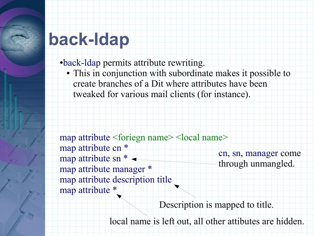●back-ldap permits attribute rewriting.

● This in conjunction with subordinate makes it possible to create branches of a Dit where attributes have been tweaked for various mail clients (for instance).

map attribute <foriegn name> <local name> map attribute cn \* map attribute sn \* map attribute manager \* map attribute description title map attribute \* cn, sn, manager come through unmangled.

Description is mapped to title.

local name is left out, all other attibutes are hidden.